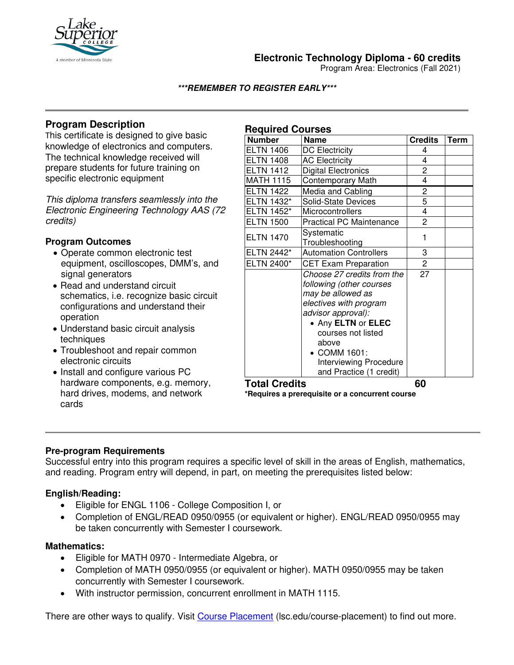

## **Electronic Technology Diploma - 60 credits**

Program Area: Electronics (Fall 2021)

**\*\*\*REMEMBER TO REGISTER EARLY\*\*\***

## **Program Description**

This certificate is designed to give basic knowledge of electronics and computers. The technical knowledge received will prepare students for future training on specific electronic equipment

*This diploma transfers seamlessly into the Electronic Engineering Technology AAS (72 credits)*

### **Program Outcomes**

- Operate common electronic test equipment, oscilloscopes, DMM's, and signal generators
- Read and understand circuit schematics, i.e. recognize basic circuit configurations and understand their operation
- Understand basic circuit analysis techniques
- Troubleshoot and repair common electronic circuits
- Install and configure various PC hardware components, e.g. memory, hard drives, modems, and network cards

| <b>Required Courses</b> |                                               |                |             |
|-------------------------|-----------------------------------------------|----------------|-------------|
| <b>Number</b>           | <b>Name</b>                                   | <b>Credits</b> | <b>Term</b> |
| <b>ELTN 1406</b>        | <b>DC Electricity</b>                         | 4              |             |
| <b>ELTN 1408</b>        | <b>AC Electricity</b>                         | 4              |             |
| <b>ELTN 1412</b>        | <b>Digital Electronics</b>                    | 2              |             |
| MATH 1115               | <b>Contemporary Math</b>                      | 4              |             |
| <b>ELTN 1422</b>        | Media and Cabling                             | $\overline{c}$ |             |
| ELTN 1432*              | Solid-State Devices                           | 5              |             |
| ELTN 1452*              | Microcontrollers                              | 4              |             |
| <b>ELTN 1500</b>        | <b>Practical PC Maintenance</b>               | $\overline{c}$ |             |
| <b>ELTN 1470</b>        | Systematic                                    | 1              |             |
|                         | Troubleshooting                               |                |             |
| ELTN 2442*              | <b>Automation Controllers</b>                 | 3              |             |
| ELTN 2400*              | <b>CET Exam Preparation</b>                   | $\overline{c}$ |             |
|                         | Choose 27 credits from the                    | 27             |             |
|                         | following (other courses<br>may be allowed as |                |             |
|                         | electives with program                        |                |             |
|                         | advisor approval):                            |                |             |
|                         | • Any ELTN or ELEC                            |                |             |
|                         | courses not listed                            |                |             |
|                         | above                                         |                |             |
|                         | • COMM 1601:                                  |                |             |
|                         | <b>Interviewing Procedure</b>                 |                |             |
|                         | and Practice (1 credit)                       |                |             |

#### **Total Credits 60**

**\*Requires a prerequisite or a concurrent course**

#### **Pre-program Requirements**

Successful entry into this program requires a specific level of skill in the areas of English, mathematics, and reading. Program entry will depend, in part, on meeting the prerequisites listed below:

#### **English/Reading:**

- Eligible for ENGL 1106 College Composition I, or
- Completion of ENGL/READ 0950/0955 (or equivalent or higher). ENGL/READ 0950/0955 may be taken concurrently with Semester I coursework.

#### **Mathematics:**

- Eligible for MATH 0970 Intermediate Algebra, or
- Completion of MATH 0950/0955 (or equivalent or higher). MATH 0950/0955 may be taken concurrently with Semester I coursework.
- With instructor permission, concurrent enrollment in MATH 1115.

There are other ways to qualify. Visit Course Placement (lsc.edu/course-placement) to find out more.